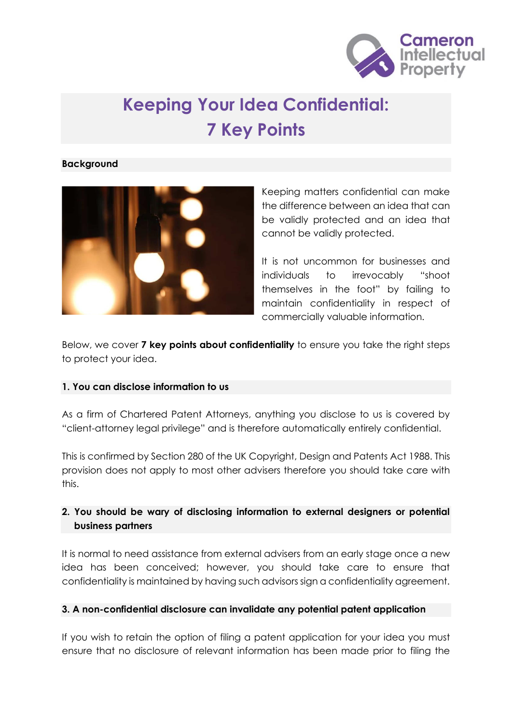

# **Keeping Your Idea Confidential: 7 Key Points**

#### **Background**



Keeping matters confidential can make the difference between an idea that can be validly protected and an idea that cannot be validly protected.

It is not uncommon for businesses and individuals to irrevocably "shoot themselves in the foot" by failing to maintain confidentiality in respect of commercially valuable information.

Below, we cover **7 key points about confidentiality** to ensure you take the right steps to protect your idea.

#### **1. You can disclose information to us**

As a firm of Chartered Patent Attorneys, anything you disclose to us is covered by "client-attorney legal privilege" and is therefore automatically entirely confidential.

This is confirmed by Section 280 of the UK Copyright, Design and Patents Act 1988. This provision does not apply to most other advisers therefore you should take care with this.

## **2. You should be wary of disclosing information to external designers or potential business partners**

It is normal to need assistance from external advisers from an early stage once a new idea has been conceived; however, you should take care to ensure that confidentiality is maintained by having such advisors sign a confidentiality agreement.

#### **3. A non-confidential disclosure can invalidate any potential patent application**

If you wish to retain the option of filing a patent application for your idea you must ensure that no disclosure of relevant information has been made prior to filing the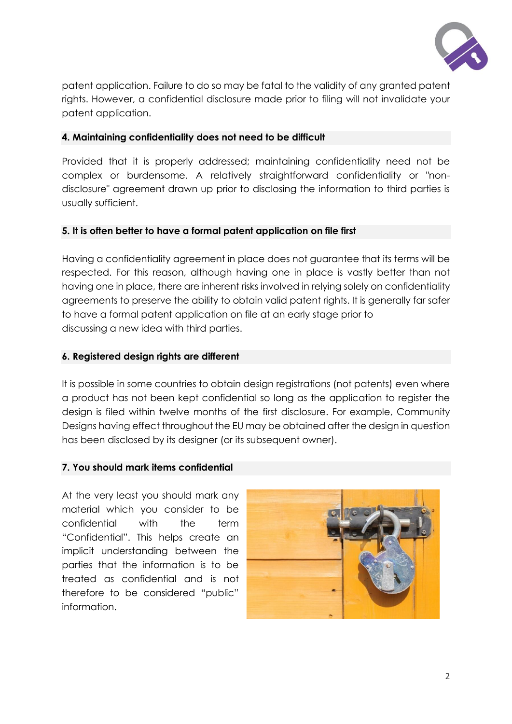

patent application. Failure to do so may be fatal to the validity of any granted patent rights. However, a confidential disclosure made prior to filing will not invalidate your patent application.

#### **4. Maintaining confidentiality does not need to be difficult**

Provided that it is properly addressed; maintaining confidentiality need not be complex or burdensome. A relatively straightforward confidentiality or "nondisclosure" agreement drawn up prior to disclosing the information to third parties is usually sufficient.

#### **5. It is often better to have a formal patent application on file first**

Having a confidentiality agreement in place does not guarantee that its terms will be respected. For this reason, although having one in place is vastly better than not having one in place, there are inherent risks involved in relying solely on confidentiality agreements to preserve the ability to obtain valid patent rights. It is generally far safer to have a formal patent application on file at an early stage prior to discussing a new idea with third parties.

#### **6. Registered design rights are different**

It is possible in some countries to obtain design registrations (not patents) even where a product has not been kept confidential so long as the application to register the design is filed within twelve months of the first disclosure. For example, Community Designs having effect throughout the EU may be obtained after the design in question has been disclosed by its designer (or its subsequent owner).

#### **7. You should mark items confidential**

At the very least you should mark any material which you consider to be confidential with the term "Confidential". This helps create an implicit understanding between the parties that the information is to be treated as confidential and is not therefore to be considered "public" information.